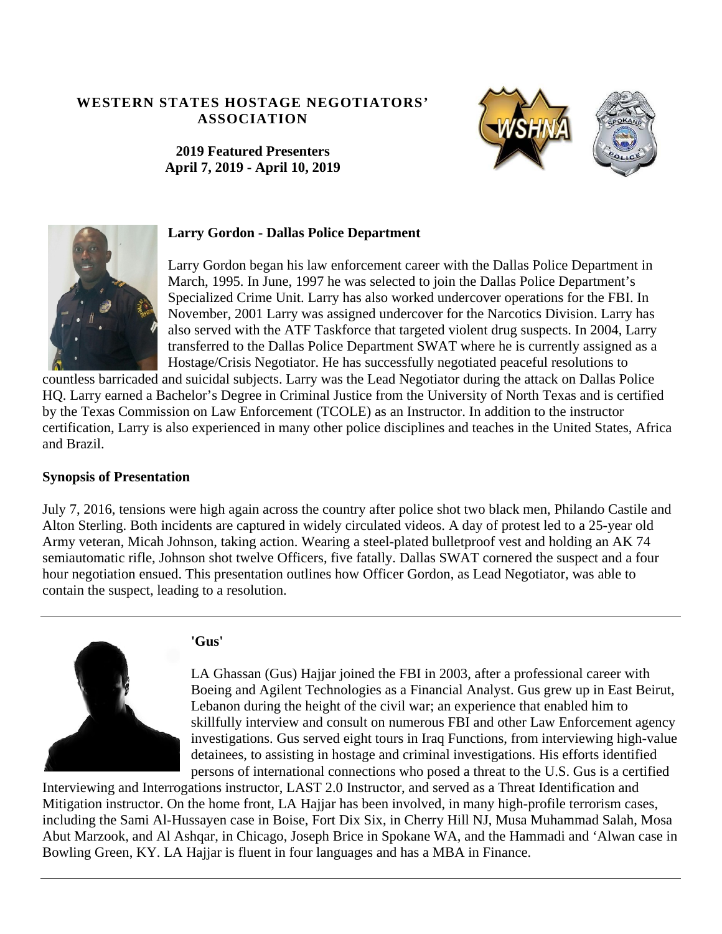## **WESTERN STATES HOSTAGE NEGOTIATORS' ASSOCIATION**

**2019 Featured Presenters April 7, 2019 - April 10, 2019** 





### **Larry Gordon - Dallas Police Department**

Larry Gordon began his law enforcement career with the Dallas Police Department in March, 1995. In June, 1997 he was selected to join the Dallas Police Department's Specialized Crime Unit. Larry has also worked undercover operations for the FBI. In November, 2001 Larry was assigned undercover for the Narcotics Division. Larry has also served with the ATF Taskforce that targeted violent drug suspects. In 2004, Larry transferred to the Dallas Police Department SWAT where he is currently assigned as a Hostage/Crisis Negotiator. He has successfully negotiated peaceful resolutions to

countless barricaded and suicidal subjects. Larry was the Lead Negotiator during the attack on Dallas Police HQ. Larry earned a Bachelor's Degree in Criminal Justice from the University of North Texas and is certified by the Texas Commission on Law Enforcement (TCOLE) as an Instructor. In addition to the instructor certification, Larry is also experienced in many other police disciplines and teaches in the United States, Africa and Brazil.

## **Synopsis of Presentation**

July 7, 2016, tensions were high again across the country after police shot two black men, Philando Castile and Alton Sterling. Both incidents are captured in widely circulated videos. A day of protest led to a 25-year old Army veteran, Micah Johnson, taking action. Wearing a steel-plated bulletproof vest and holding an AK 74 semiautomatic rifle, Johnson shot twelve Officers, five fatally. Dallas SWAT cornered the suspect and a four hour negotiation ensued. This presentation outlines how Officer Gordon, as Lead Negotiator, was able to contain the suspect, leading to a resolution.

## **'Gus'**



LA Ghassan (Gus) Hajjar joined the FBI in 2003, after a professional career with Boeing and Agilent Technologies as a Financial Analyst. Gus grew up in East Beirut, Lebanon during the height of the civil war; an experience that enabled him to skillfully interview and consult on numerous FBI and other Law Enforcement agency investigations. Gus served eight tours in Iraq Functions, from interviewing high-value detainees, to assisting in hostage and criminal investigations. His efforts identified persons of international connections who posed a threat to the U.S. Gus is a certified

Interviewing and Interrogations instructor, LAST 2.0 Instructor, and served as a Threat Identification and Mitigation instructor. On the home front, LA Hajjar has been involved, in many high-profile terrorism cases, including the Sami Al-Hussayen case in Boise, Fort Dix Six, in Cherry Hill NJ, Musa Muhammad Salah, Mosa Abut Marzook, and Al Ashqar, in Chicago, Joseph Brice in Spokane WA, and the Hammadi and 'Alwan case in Bowling Green, KY. LA Hajjar is fluent in four languages and has a MBA in Finance.